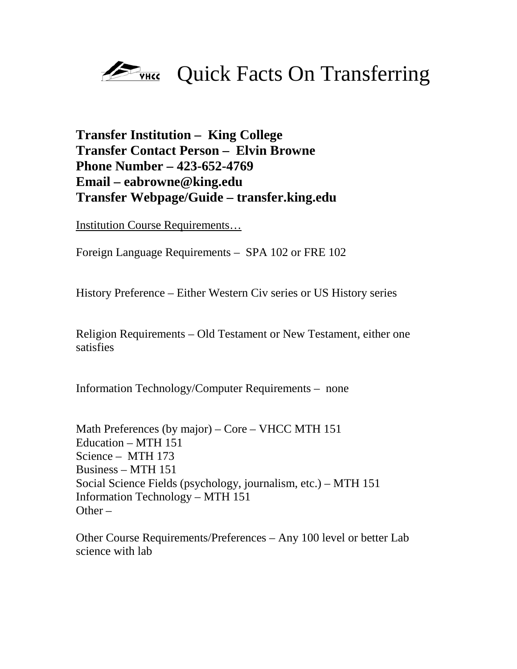

## **Transfer Institution – King College Transfer Contact Person – Elvin Browne Phone Number – 423-652-4769 Email – eabrowne@king.edu Transfer Webpage/Guide – transfer.king.edu**

Institution Course Requirements…

Foreign Language Requirements – SPA 102 or FRE 102

History Preference – Either Western Civ series or US History series

Religion Requirements – Old Testament or New Testament, either one satisfies

Information Technology/Computer Requirements – none

Math Preferences (by major) – Core – VHCC MTH 151 Education – MTH 151 Science – MTH 173 Business – MTH 151 Social Science Fields (psychology, journalism, etc.) – MTH 151 Information Technology – MTH 151  $Other -$ 

Other Course Requirements/Preferences – Any 100 level or better Lab science with lab